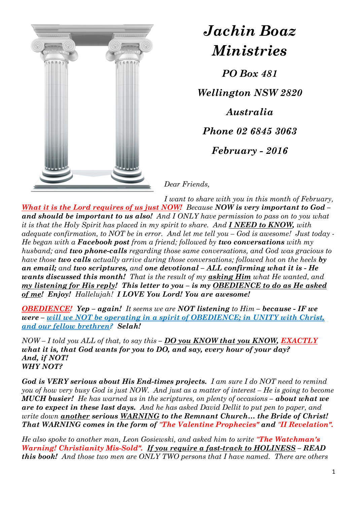

## *Jachin Boaz Ministries*

*PO Box 481*

*Wellington NSW 2820*

*Australia Phone 02 6845 3063 February - 2016*

*Dear Friends,*

*I want to share with you in this month of February, What it is the Lord requires of us just NOW! Because NOW is very important to God – and should be important to us also! And I ONLY have permission to pass on to you what it is that the Holy Spirit has placed in my spirit to share. And I NEED to KNOW, with adequate confirmation, to NOT be in error. And let me tell you – God is awesome! Just today - He began with a Facebook post from a friend; followed by two conversations with my husband; and two phone-calls regarding those same conversations, and God was gracious to have those two calls actually arrive during those conversations; followed hot on the heels by an email; and two scriptures, and one devotional – ALL confirming what it is - He wants discussed this month! That is the result of my asking Him what He wanted, and my listening for His reply! This letter to you – is my OBEDIENCE to do as He asked of me! Enjoy! Hallelujah! I LOVE You Lord! You are awesome!*

*OBEDIENCE! Yep – again! It seems we are NOT listening to Him – because - IF we were – will we NOT be operating in a spirit of OBEDIENCE; in UNITY with Christ, and our fellow brethren? Selah!*

*NOW – I told you ALL of that, to say this – DO you KNOW that you KNOW, EXACTLY what it is, that God wants for you to DO, and say, every hour of your day? And, if NOT! WHY NOT?*

*God is VERY serious about His End-times projects. I am sure I do NOT need to remind you of how very busy God is just NOW. And just as a matter of interest – He is going to become MUCH* busier! He has warned us in the scriptures, on plenty of occasions – about what we *are to expect in these last days. And he has asked David Dellit to put pen to paper, and write down another serious WARNING to the Remnant Church… the Bride of Christ! That WARNING comes in the form of "The Valentine Prophecies" and "II Revelation".*

*He also spoke to another man, Leon Gosiewski, and asked him to write "The Watchman's Warning! Christianity Mis-Sold". If you require a fast-track to HOLINESS – READ this book! And those two men are ONLY TWO persons that I have named. There are others*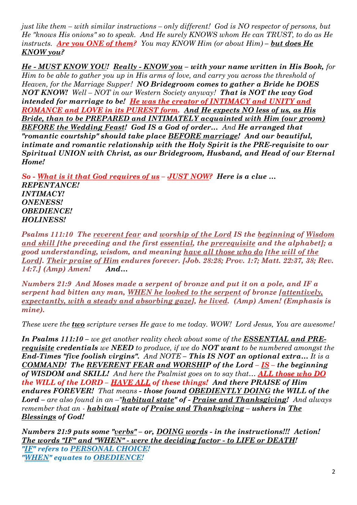*just like them – with similar instructions – only different! God is NO respector of persons, but He "knows His onions" so to speak. And He surely KNOWS whom He can TRUST, to do as He instructs.* Are you ONE of them? You may KNOW Him (or about Him) – but does He *KNOW you?* 

*He - MUST KNOW YOU! Really - KNOW you – with your name written in His Book, for Him to be able to gather you up in His arms of love, and carry you across the threshold of Heaven, for the Marriage Supper! NO Bridegroom comes to gather a Bride he DOES NOT KNOW! Well – NOT in our Western Society anyway! That is NOT the way God intended for marriage to be! He was the creator of INTIMACY and UNITY and ROMANCE and LOVE in its PUREST form. And He expects NO less of us, as His Bride, than to be PREPARED and INTIMATELY acquainted with Him (our groom) BEFORE the Wedding Feast! God IS a God of order… And He arranged that "romantic courtship" should take place BEFORE marriage! And our beautiful, intimate and romantic relationship with the Holy Spirit is the PRE-requisite to our Spiritual UNION with Christ, as our Bridegroom, Husband, and Head of our Eternal Home!*

*So - What is it that God requires of us – JUST NOW? Here is a clue … REPENTANCE! INTIMACY! ONENESS!* 

*OBEDIENCE! HOLINESS!*

*Psalms 111:10 The reverent fear and worship of the Lord IS the beginning of Wisdom and skill [the preceding and the first essential, the prerequisite and the alphabet]; a good understanding, wisdom, and meaning have all those who do [the will of the Lord]. Their praise of Him endures forever. [Job. 28:28; Prov. 1:7; Matt. 22:37, 38; Rev. 14:7.] (Amp) Amen! And…*

*Numbers 21:9 And Moses made a serpent of bronze and put it on a pole, and IF a serpent had bitten any man, WHEN he looked to the serpent of bronze [attentively, expectantly, with a steady and absorbing gaze], he lived. (Amp) Amen! (Emphasis is mine).*

*These were the two scripture verses He gave to me today. WOW! Lord Jesus, You are awesome!*

In Psalms 111:10 – we get another reality check about some of the **ESSENTIAL and PRE***requisite credentials we NEED to produce, if we do NOT want to be numbered amongst the End-Times "five foolish virgins". And NOTE – This IS NOT an optional extra… It is a COMMAND! The REVERENT FEAR and WORSHIP of the Lord – IS – the beginning of WISDOM and SKILL! And here the Psalmist goes on to say that… ALL those who DO the WILL of the LORD – HAVE ALL of these things! And there PRAISE of Him endures FOREVER! That means - those found OBEDIENTLY DOING the WILL of the Lord – are also found in an –"habitual state" of - Praise and Thanksgiving! And always remember that an - habitual state of Praise and Thanksgiving – ushers in The Blessings of God!*

*Numbers 21:9 puts some "verbs" – or, DOING words - in the instructions!!! Action! The words "IF" and "WHEN" - were the deciding factor - to LIFE or DEATH! "IF" refers to PERSONAL CHOICE! "WHEN" equates to OBEDIENCE!*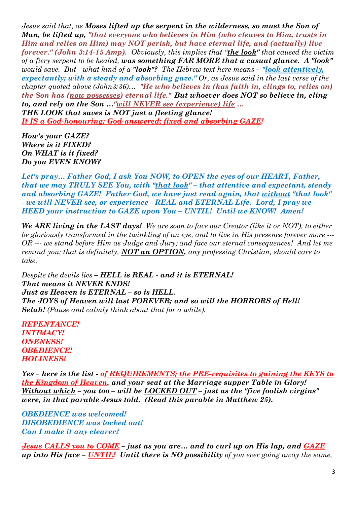*Jesus said that, as Moses lifted up the serpent in the wilderness, so must the Son of Man, be lifted up, "that everyone who believes in Him (who cleaves to Him, trusts in Him and relies on Him) may NOT perish, but have eternal life, and (actually) live forever." (John 3:14-15 Amp). Obviously, this implies that "the look" that caused the victim of a fiery serpent to be healed, was something FAR MORE that a casual glance. A "look" would save. But - what kind of a "look"? The Hebrew text here means – "look attentively, expectantly; with a steady and absorbing gaze." Or, as Jesus said in the last verse of the chapter quoted above (John3:36)… "He who believes in (has faith in, clings to, relies on) the Son has (now possesses) eternal life." But whoever does NOT so believe in, cling to, and rely on the Son …"will NEVER see (experience) life … THE LOOK that saves is NOT just a fleeting glance! It IS a God-honouring; God-answered; fixed and absorbing GAZE!* 

*How's your GAZE? Where is it FIXED? On WHAT is it fixed? Do you EVEN KNOW?* 

*Let's pray… Father God, I ask You NOW, to OPEN the eyes of our HEART, Father, that we may TRULY SEE You, with "that look" – that attentive and expectant, steady and absorbing GAZE! Father God, we have just read again, that without "that look" - we will NEVER see, or experience - REAL and ETERNAL Life. Lord, I pray we HEED your instruction to GAZE upon You – UNTIL! Until we KNOW! Amen!*

*We ARE living in the LAST days! We are soon to face our Creator (like it or NOT), to either be gloriously transformed in the twinkling of an eye, and to live in His presence forever more --- OR --- we stand before Him as Judge and Jury; and face our eternal consequences! And let me remind you; that is definitely, NOT an OPTION, any professing Christian, should care to take.*

*Despite the devils lies – HELL is REAL - and it is ETERNAL! That means it NEVER ENDS! Just as Heaven is ETERNAL – so is HELL. The JOYS of Heaven will last FOREVER; and so will the HORRORS of Hell! Selah! (Pause and calmly think about that for a while).*

*REPENTANCE! INTIMACY! ONENESS! OBEDIENCE! HOLINESS!*

*Yes – here is the list - of REQUIREMENTS; the PRE-requisites to gaining the KEYS to the Kingdom of Heaven, and your seat at the Marriage supper Table in Glory! Without which – you too – will be LOCKED OUT – just as the "five foolish virgins" were, in that parable Jesus told. (Read this parable in Matthew 25).*

*OBEDIENCE was welcomed! DISOBEDIENCE was locked out! Can I make it any clearer?* 

*Jesus CALLS you to COME – just as you are… and to curl up on His lap, and GAZE up into His face – UNTIL! Until there is NO possibility of you ever going away the same,*